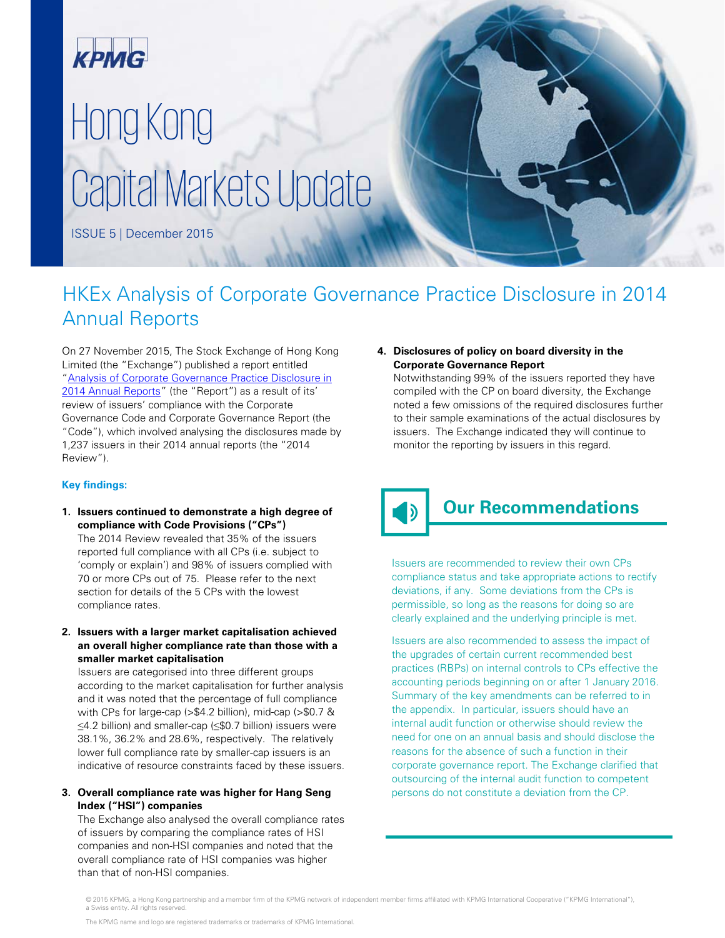

# Hong Kong Capital Markets Update

ISSUE 5 | December 2015

### HKEx Analysis of Corporate Governance Practice Disclosure in 2014 Annual Reports

On 27 November 2015, The Stock Exchange of Hong Kong Limited (the "Exchange") published a report entitled ["Analysis of Corporate Governance Practice Disclosure in](http://www.hkexnews.hk/reports/corpgovpract/Documents/CG_Practices_2014_e.pdf)  [2014 Annual Reports"](http://www.hkexnews.hk/reports/corpgovpract/Documents/CG_Practices_2014_e.pdf) (the "Report") as a result of its' review of issuers' compliance with the Corporate Governance Code and Corporate Governance Report (the "Code"), which involved analysing the disclosures made by 1,237 issuers in their 2014 annual reports (the "2014 Review").

#### **Key findings:**

**1. Issuers continued to demonstrate a high degree of compliance with Code Provisions ("CPs")**

The 2014 Review revealed that 35% of the issuers reported full compliance with all CPs (i.e. subject to 'comply or explain') and 98% of issuers complied with 70 or more CPs out of 75. Please refer to the next section for details of the 5 CPs with the lowest compliance rates.

**2. Issuers with a larger market capitalisation achieved an overall higher compliance rate than those with a smaller market capitalisation**

Issuers are categorised into three different groups according to the market capitalisation for further analysis and it was noted that the percentage of full compliance with CPs for large-cap (>\$4.2 billion), mid-cap (>\$0.7 & ≤4.2 billion) and smaller-cap (≤\$0.7 billion) issuers were 38.1%, 36.2% and 28.6%, respectively. The relatively lower full compliance rate by smaller-cap issuers is an indicative of resource constraints faced by these issuers.

#### **3. Overall compliance rate was higher for Hang Seng Index ("HSI") companies**

The Exchange also analysed the overall compliance rates of issuers by comparing the compliance rates of HSI companies and non-HSI companies and noted that the overall compliance rate of HSI companies was higher than that of non-HSI companies.

#### **4. Disclosures of policy on board diversity in the Corporate Governance Report**

Notwithstanding 99% of the issuers reported they have compiled with the CP on board diversity, the Exchange noted a few omissions of the required disclosures further to their sample examinations of the actual disclosures by issuers. The Exchange indicated they will continue to monitor the reporting by issuers in this regard.

## **Our Recommendations**

Issuers are recommended to review their own CPs compliance status and take appropriate actions to rectify deviations, if any. Some deviations from the CPs is permissible, so long as the reasons for doing so are clearly explained and the underlying principle is met.

Issuers are also recommended to assess the impact of the upgrades of certain current recommended best practices (RBPs) on internal controls to CPs effective the accounting periods beginning on or after 1 January 2016. Summary of the key amendments can be referred to in the appendix. In particular, issuers should have an internal audit function or otherwise should review the need for one on an annual basis and should disclose the reasons for the absence of such a function in their corporate governance report. The Exchange clarified that outsourcing of the internal audit function to competent persons do not constitute a deviation from the CP.

<sup>© 2015</sup> KPMG, a Hong Kong partnership and a member firm of the KPMG network of independent member firms affiliated with KPMG International Cooperative ("KPMG International"), a Swiss entity. All rights reserved.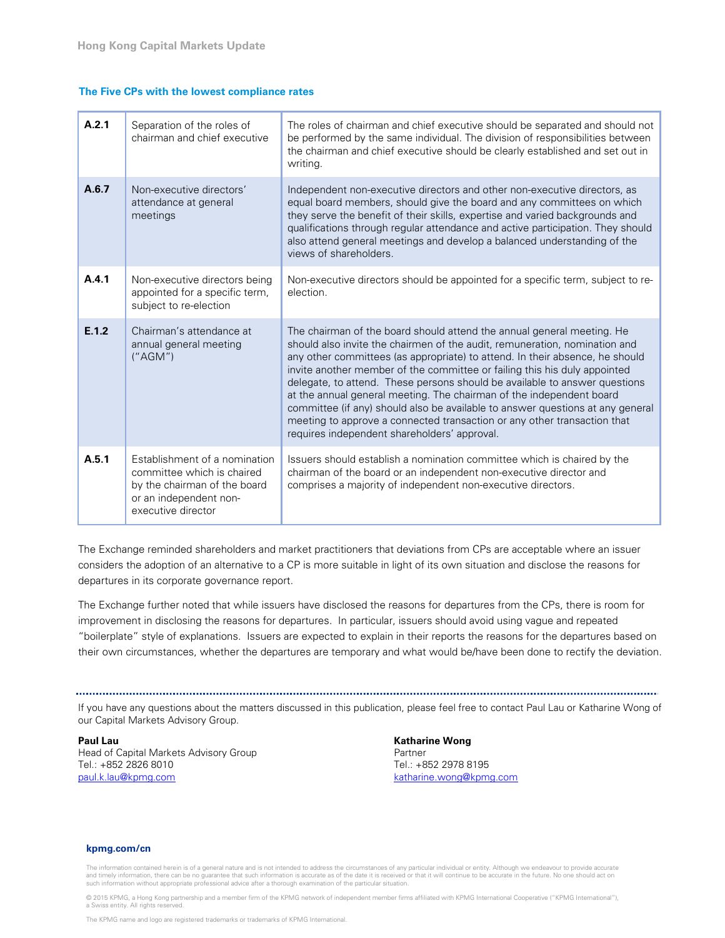#### **The Five CPs with the lowest compliance rates**

| A.2.1 | Separation of the roles of<br>chairman and chief executive                                                                                  | The roles of chairman and chief executive should be separated and should not<br>be performed by the same individual. The division of responsibilities between<br>the chairman and chief executive should be clearly established and set out in<br>writing.                                                                                                                                                                                                                                                                                                                                                                                                                            |
|-------|---------------------------------------------------------------------------------------------------------------------------------------------|---------------------------------------------------------------------------------------------------------------------------------------------------------------------------------------------------------------------------------------------------------------------------------------------------------------------------------------------------------------------------------------------------------------------------------------------------------------------------------------------------------------------------------------------------------------------------------------------------------------------------------------------------------------------------------------|
| A.6.7 | Non-executive directors'<br>attendance at general<br>meetings                                                                               | Independent non-executive directors and other non-executive directors, as<br>equal board members, should give the board and any committees on which<br>they serve the benefit of their skills, expertise and varied backgrounds and<br>qualifications through regular attendance and active participation. They should<br>also attend general meetings and develop a balanced understanding of the<br>views of shareholders.                                                                                                                                                                                                                                                          |
| A.4.1 | Non-executive directors being<br>appointed for a specific term,<br>subject to re-election                                                   | Non-executive directors should be appointed for a specific term, subject to re-<br>election.                                                                                                                                                                                                                                                                                                                                                                                                                                                                                                                                                                                          |
| E.1.2 | Chairman's attendance at<br>annual general meeting<br>(''AGM'')                                                                             | The chairman of the board should attend the annual general meeting. He<br>should also invite the chairmen of the audit, remuneration, nomination and<br>any other committees (as appropriate) to attend. In their absence, he should<br>invite another member of the committee or failing this his duly appointed<br>delegate, to attend. These persons should be available to answer questions<br>at the annual general meeting. The chairman of the independent board<br>committee (if any) should also be available to answer questions at any general<br>meeting to approve a connected transaction or any other transaction that<br>requires independent shareholders' approval. |
| A.5.1 | Establishment of a nomination<br>committee which is chaired<br>by the chairman of the board<br>or an independent non-<br>executive director | Issuers should establish a nomination committee which is chaired by the<br>chairman of the board or an independent non-executive director and<br>comprises a majority of independent non-executive directors.                                                                                                                                                                                                                                                                                                                                                                                                                                                                         |

The Exchange reminded shareholders and market practitioners that deviations from CPs are acceptable where an issuer considers the adoption of an alternative to a CP is more suitable in light of its own situation and disclose the reasons for departures in its corporate governance report.

The Exchange further noted that while issuers have disclosed the reasons for departures from the CPs, there is room for improvement in disclosing the reasons for departures. In particular, issuers should avoid using vague and repeated "boilerplate" style of explanations. Issuers are expected to explain in their reports the reasons for the departures based on their own circumstances, whether the departures are temporary and what would be/have been done to rectify the deviation.

If you have any questions about the matters discussed in this publication, please feel free to contact Paul Lau or Katharine Wong of our Capital Markets Advisory Group.

**Paul Lau**  Head of Capital Markets Advisory Group Tel.: +852 2826 8010 [paul.k.lau@kpmg.com](mailto:paul.k.lau@kpmg.com?cc=enquiries.hk@kpmg.com&subject=Web:[CMU])

**Katharine Wong** Partner Tel.: +852 2978 8195 [katharine.wong@kpmg.com](mailto:katharine.wong@kpmg.com?cc=enquiries.hk@kpmg.com&subject=Web:[CMU])

#### **[kpmg.com/cn](www.kpmg.com/cn)**

The information contained herein is of a general nature and is not intended to address the circumstances of any particular individual or entity. Although we endeavour to provide accurate<br>and timely information, there can b such information without appropriate professional advice after a thorough examination of the particular situation.

© 2015 KPMG, a Hong Kong partnership and a member firm of the KPMG network of independent member firms affiliated with KPMG International Cooperative ("KPMG International"), a Swiss entity. All rights reserved.